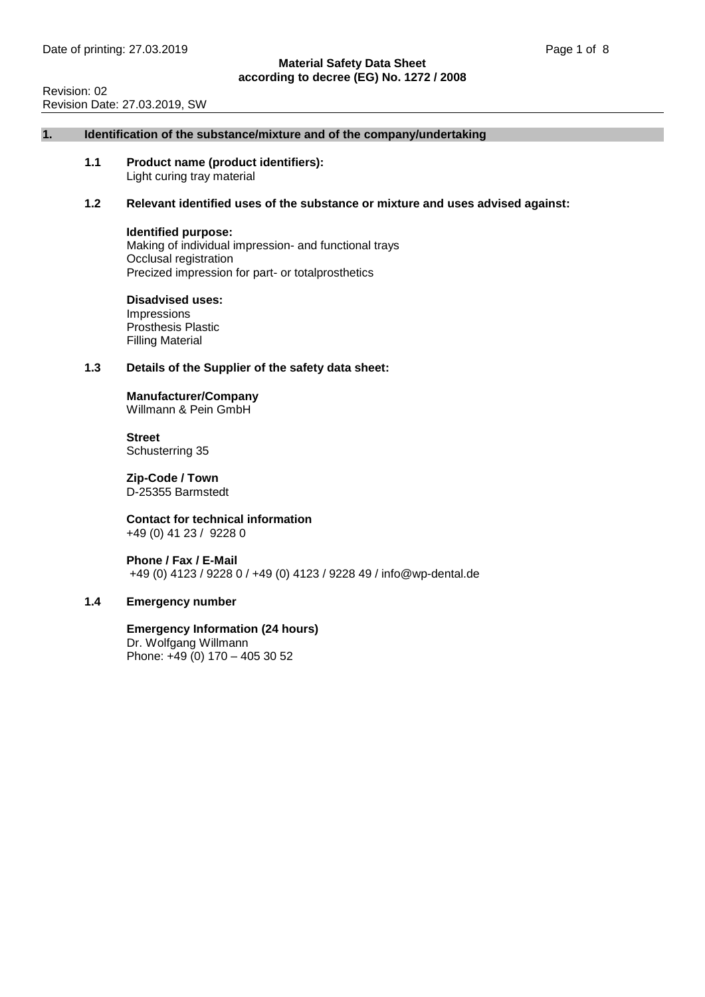Revision: 02 Revision Date: 27.03.2019, SW

#### **1. Identification of the substance/mixture and of the company/undertaking**

**1.1 Product name (product identifiers):** Light curing tray material

#### **1.2 Relevant identified uses of the substance or mixture and uses advised against:**

#### **Identified purpose:**

Making of individual impression- and functional trays Occlusal registration Precized impression for part- or totalprosthetics

#### **Disadvised uses:** Impressions Prosthesis Plastic

Filling Material

# **1.3 Details of the Supplier of the safety data sheet:**

# **Manufacturer/Company**

Willmann & Pein GmbH

**Street** Schusterring 35

**Zip-Code / Town** D-25355 Barmstedt

**Contact for technical information** +49 (0) 41 23 / 9228 0

**Phone / Fax / E-Mail** +49 (0) 4123 / 9228 0 / +49 (0) 4123 / 9228 49 / info@wp-dental.de

# **1.4 Emergency number**

**Emergency Information (24 hours)** Dr. Wolfgang Willmann Phone: +49 (0) 170 – 405 30 52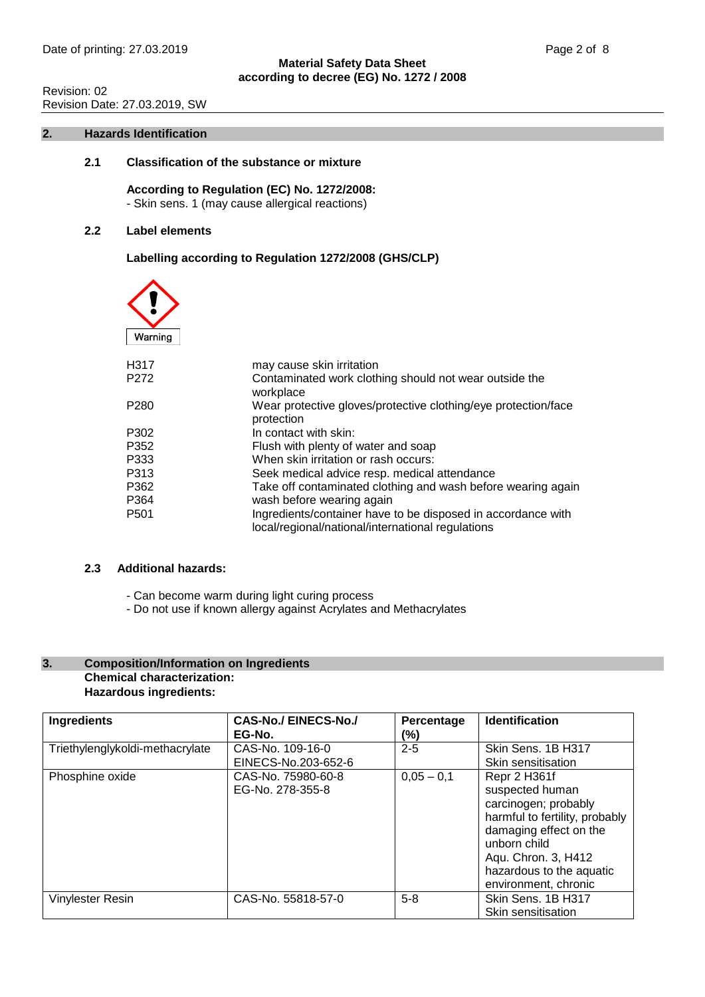# Revision: 02 Revision Date: 27.03.2019, SW

#### **2. Hazards Identification**

# **2.1 Classification of the substance or mixture**

**According to Regulation (EC) No. 1272/2008:** - Skin sens. 1 (may cause allergical reactions)

# **2.2 Label elements**

# **Labelling according to Regulation 1272/2008 (GHS/CLP)**

| Warning           |                                                                                                                   |
|-------------------|-------------------------------------------------------------------------------------------------------------------|
| H <sub>3</sub> 17 | may cause skin irritation                                                                                         |
| P <sub>272</sub>  | Contaminated work clothing should not wear outside the<br>workplace                                               |
| P <sub>280</sub>  | Wear protective gloves/protective clothing/eye protection/face<br>protection                                      |
| P302              | In contact with skin:                                                                                             |
| P352              | Flush with plenty of water and soap                                                                               |
| P333              | When skin irritation or rash occurs:                                                                              |
| P313              | Seek medical advice resp. medical attendance                                                                      |
| P362              | Take off contaminated clothing and wash before wearing again                                                      |
| P364              | wash before wearing again                                                                                         |
| P <sub>501</sub>  | Ingredients/container have to be disposed in accordance with<br>local/regional/national/international regulations |

# **2.3 Additional hazards:**

- Can become warm during light curing process
- Do not use if known allergy against Acrylates and Methacrylates

# **3. Composition/Information on Ingredients Chemical characterization: Hazardous ingredients:**

| Ingredients                     | <b>CAS-No./ EINECS-No./</b><br>EG-No.  | Percentage<br>(%) | <b>Identification</b>                                                                                                                                                                                          |
|---------------------------------|----------------------------------------|-------------------|----------------------------------------------------------------------------------------------------------------------------------------------------------------------------------------------------------------|
| Triethylenglykoldi-methacrylate | CAS-No. 109-16-0                       | $2 - 5$           | Skin Sens. 1B H317                                                                                                                                                                                             |
|                                 | EINECS-No.203-652-6                    |                   | Skin sensitisation                                                                                                                                                                                             |
| Phosphine oxide                 | CAS-No. 75980-60-8<br>EG-No. 278-355-8 | $0,05 - 0,1$      | Repr 2 H361f<br>suspected human<br>carcinogen; probably<br>harmful to fertility, probably<br>damaging effect on the<br>unborn child<br>Aqu. Chron. 3, H412<br>hazardous to the aquatic<br>environment, chronic |
| <b>Vinylester Resin</b>         | CAS-No. 55818-57-0                     | $5 - 8$           | Skin Sens. 1B H317<br>Skin sensitisation                                                                                                                                                                       |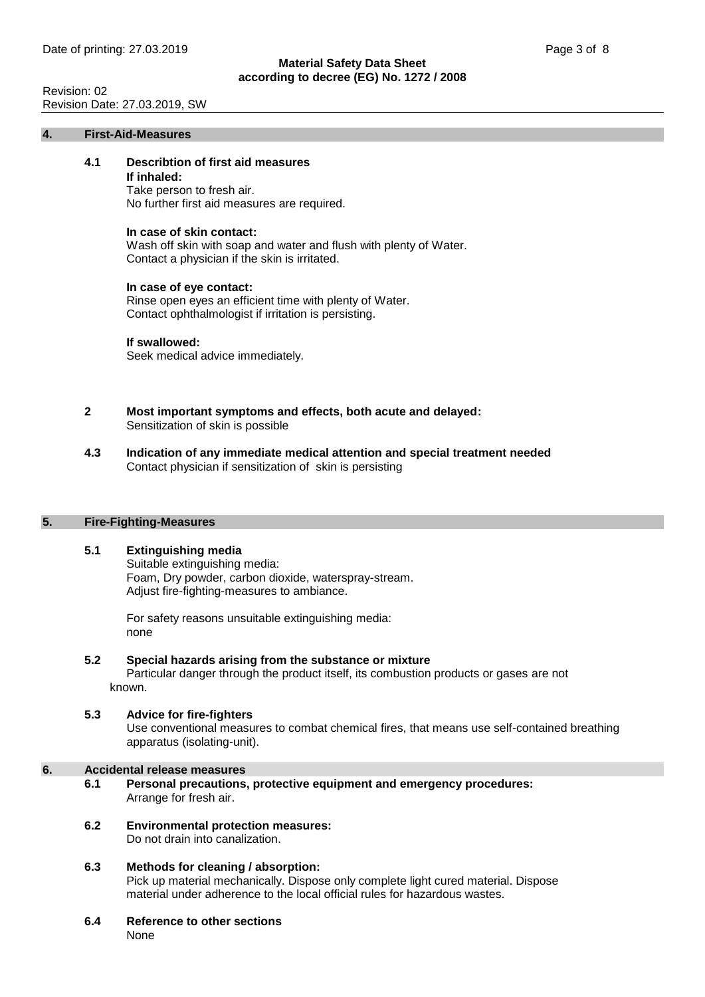# Revision: 02 Revision Date: 27.03.2019, SW

#### **4. First-Aid-Measures**

# **4.1 Describtion of first aid measures**

#### **If inhaled:**

Take person to fresh air. No further first aid measures are required.

#### **In case of skin contact:**

Wash off skin with soap and water and flush with plenty of Water. Contact a physician if the skin is irritated.

#### **In case of eye contact:**

Rinse open eyes an efficient time with plenty of Water. Contact ophthalmologist if irritation is persisting.

#### **If swallowed:**

Seek medical advice immediately.

- **2 Most important symptoms and effects, both acute and delayed:** Sensitization of skin is possible
- **4.3 Indication of any immediate medical attention and special treatment needed** Contact physician if sensitization of skin is persisting

#### **5. Fire-Fighting-Measures**

# **5.1 Extinguishing media**

Suitable extinguishing media: Foam, Dry powder, carbon dioxide, waterspray-stream. Adjust fire-fighting-measures to ambiance.

For safety reasons unsuitable extinguishing media: none

# **5.2 Special hazards arising from the substance or mixture**

Particular danger through the product itself, its combustion products or gases are not known.

#### **5.3 Advice for fire-fighters**

Use conventional measures to combat chemical fires, that means use self-contained breathing apparatus (isolating-unit).

## **6. Accidental release measures**

- **6.1 Personal precautions, protective equipment and emergency procedures:** Arrange for fresh air.
- **6.2 Environmental protection measures:** Do not drain into canalization.
- **6.3 Methods for cleaning / absorption:** Pick up material mechanically. Dispose only complete light cured material. Dispose material under adherence to the local official rules for hazardous wastes.
- **6.4 Reference to other sections** None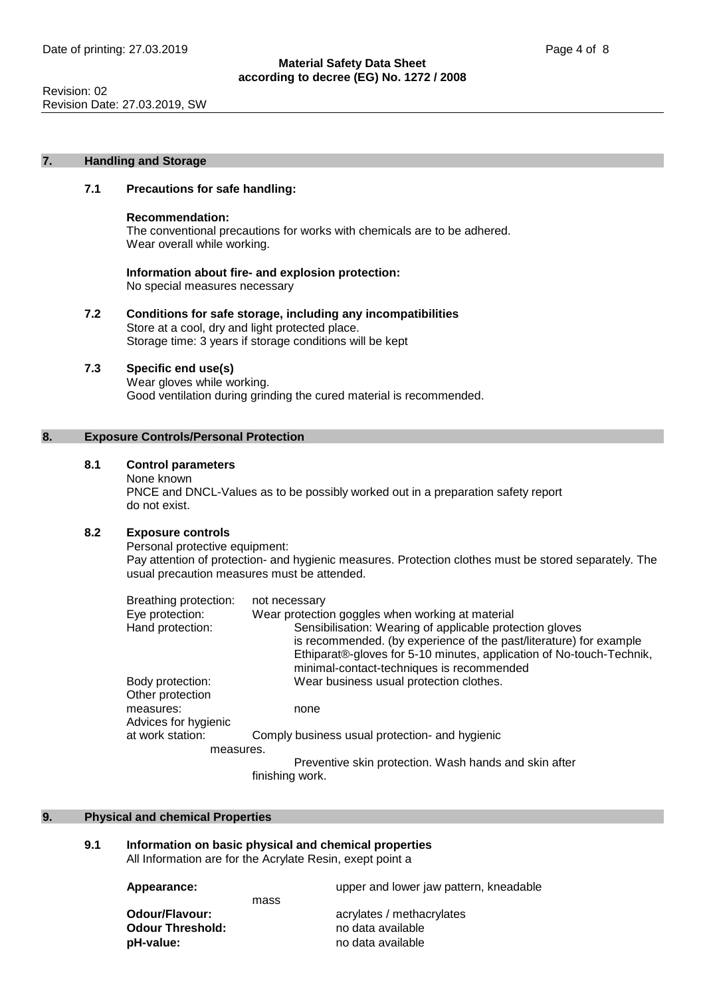Revision: 02 Revision Date: 27.03.2019, SW

#### **7. Handling and Storage**

#### **7.1 Precautions for safe handling:**

#### **Recommendation:**

The conventional precautions for works with chemicals are to be adhered. Wear overall while working.

**Information about fire- and explosion protection:** No special measures necessary

**7.2 Conditions for safe storage, including any incompatibilities** Store at a cool, dry and light protected place. Storage time: 3 years if storage conditions will be kept

# **7.3 Specific end use(s)**

Wear gloves while working. Good ventilation during grinding the cured material is recommended.

# **8. Exposure Controls/Personal Protection**

# **8.1 Control parameters**

None known

PNCE and DNCL-Values as to be possibly worked out in a preparation safety report do not exist.

### **8.2 Exposure controls**

Personal protective equipment:

Pay attention of protection- and hygienic measures. Protection clothes must be stored separately. The usual precaution measures must be attended.

| Breathing protection:                | not necessary                                                                                                                                                                                                                                       |
|--------------------------------------|-----------------------------------------------------------------------------------------------------------------------------------------------------------------------------------------------------------------------------------------------------|
| Eye protection:                      | Wear protection goggles when working at material                                                                                                                                                                                                    |
| Hand protection:                     | Sensibilisation: Wearing of applicable protection gloves<br>is recommended. (by experience of the past/literature) for example<br>Ethiparat®-gloves for 5-10 minutes, application of No-touch-Technik,<br>minimal-contact-techniques is recommended |
| Body protection:<br>Other protection | Wear business usual protection clothes.                                                                                                                                                                                                             |
| measures:<br>Advices for hygienic    | none                                                                                                                                                                                                                                                |
| at work station:                     | Comply business usual protection- and hygienic                                                                                                                                                                                                      |
| measures.                            |                                                                                                                                                                                                                                                     |
|                                      | Preventive skin protection. Wash hands and skin after                                                                                                                                                                                               |
|                                      | finishing work.                                                                                                                                                                                                                                     |

#### **9. Physical and chemical Properties**

#### **9.1 Information on basic physical and chemical properties** All Information are for the Acrylate Resin, exept point a

**Appearance:** upper and lower jaw pattern, kneadable

mass **Odour Threshold: pH-value:** no data available

**Odour/Flavour:** acrylates / methacrylates<br> **Odour Threshold:** end and available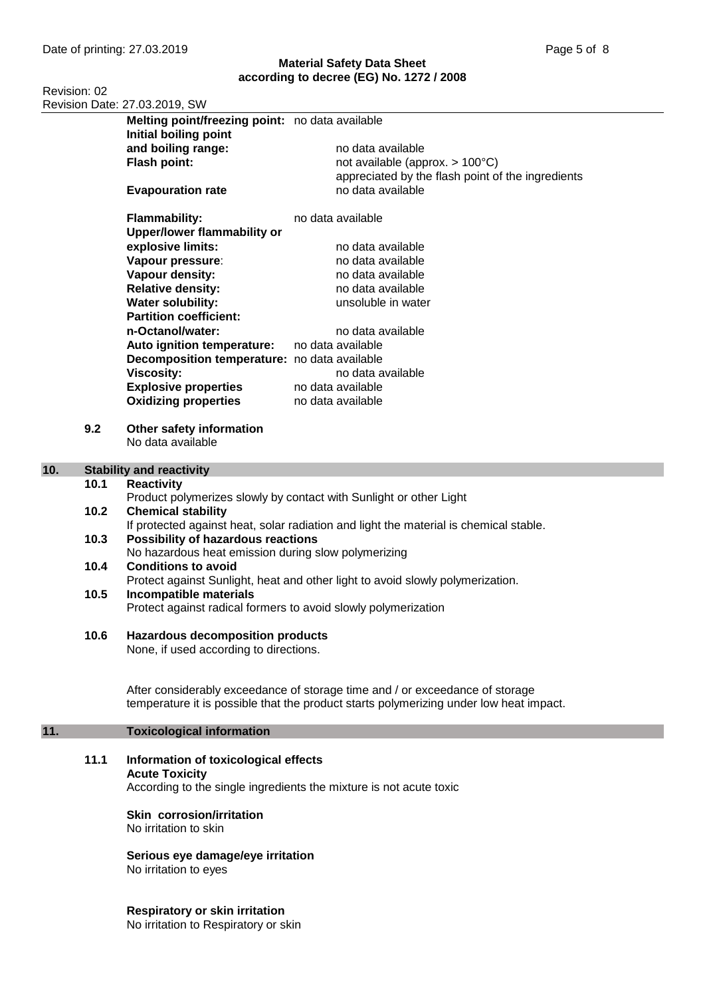Revision: 02 Revision Date: 27.03.2019, SW

|      | Melting point/freezing point: no data available<br>Initial boiling point |                                                   |
|------|--------------------------------------------------------------------------|---------------------------------------------------|
|      | and boiling range:                                                       | no data available                                 |
|      | Flash point:                                                             | not available (approx. $> 100^{\circ}$ C)         |
|      |                                                                          | appreciated by the flash point of the ingredients |
|      | <b>Evapouration rate</b>                                                 | no data available                                 |
|      |                                                                          |                                                   |
|      | <b>Flammability:</b>                                                     | no data available                                 |
|      | <b>Upper/lower flammability or</b>                                       |                                                   |
|      | explosive limits:                                                        | no data available                                 |
|      | Vapour pressure:                                                         | no data available                                 |
|      | Vapour density:                                                          | no data available                                 |
|      | <b>Relative density:</b>                                                 | no data available                                 |
|      | <b>Water solubility:</b>                                                 | unsoluble in water                                |
|      | <b>Partition coefficient:</b>                                            |                                                   |
|      | n-Octanol/water:                                                         | no data available                                 |
|      | Auto ignition temperature:                                               | no data available                                 |
|      | Decomposition temperature: no data available                             |                                                   |
|      | <b>Viscosity:</b>                                                        | no data available                                 |
|      | <b>Explosive properties</b>                                              | no data available                                 |
|      | <b>Oxidizing properties</b>                                              | no data available                                 |
|      |                                                                          |                                                   |
| 9.2  | Other safety information                                                 |                                                   |
|      | No data available                                                        |                                                   |
|      |                                                                          |                                                   |
|      | <b>Stability and reactivity</b>                                          |                                                   |
| 1በ 1 | <b>Reactivity</b>                                                        |                                                   |

# 10. **Stabi**

#### **10.1 Reactivity** Product polymerizes slowly by contact with Sunlight or other Light **10.2 Chemical stability** If protected against heat, solar radiation and light the material is chemical stable. **10.3 Possibility of hazardous reactions**

- No hazardous heat emission during slow polymerizing **10.4 Conditions to avoid** Protect against Sunlight, heat and other light to avoid slowly polymerization.
- **10.5 Incompatible materials** Protect against radical formers to avoid slowly polymerization
- **10.6 Hazardous decomposition products**

None, if used according to directions.

After considerably exceedance of storage time and / or exceedance of storage temperature it is possible that the product starts polymerizing under low heat impact.

# **11. Toxicological information**

**11.1 Information of toxicological effects Acute Toxicity** According to the single ingredients the mixture is not acute toxic

> **Skin corrosion/irritation** No irritation to skin

**Serious eye damage/eye irritation** No irritation to eyes

**Respiratory or skin irritation**

No irritation to Respiratory or skin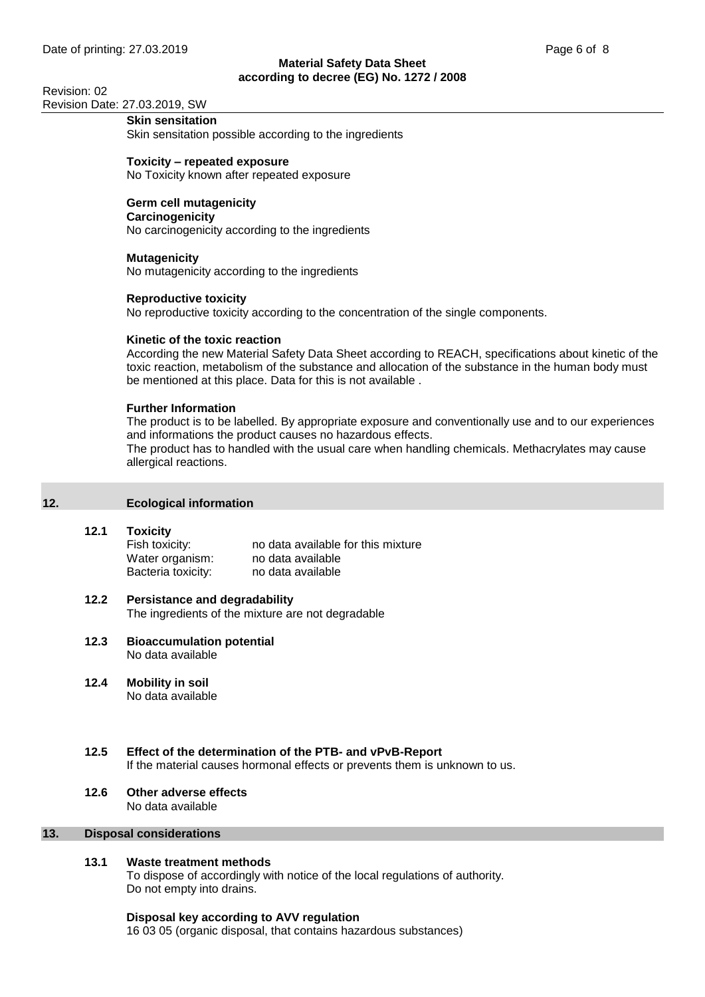Revision: 02 Revision Date: 27.03.2019, SW

# **Skin sensitation**

Skin sensitation possible according to the ingredients

**Toxicity – repeated exposure** No Toxicity known after repeated exposure

# **Germ cell mutagenicity**

#### **Carcinogenicity**

No carcinogenicity according to the ingredients

# **Mutagenicity**

No mutagenicity according to the ingredients

# **Reproductive toxicity**

No reproductive toxicity according to the concentration of the single components.

# **Kinetic of the toxic reaction**

According the new Material Safety Data Sheet according to REACH, specifications about kinetic of the toxic reaction, metabolism of the substance and allocation of the substance in the human body must be mentioned at this place. Data for this is not available .

# **Further Information**

The product is to be labelled. By appropriate exposure and conventionally use and to our experiences and informations the product causes no hazardous effects.

The product has to handled with the usual care when handling chemicals. Methacrylates may cause allergical reactions.

# **12. Ecological information**

#### **12.1 Toxicity**

Fish toxicity: no data available for this mixture Water organism: no data available Bacteria toxicity: no data available

# **12.2 Persistance and degradability**

The ingredients of the mixture are not degradable

- **12.3 Bioaccumulation potential** No data available
- **12.4 Mobility in soil** No data available

# **12.5 Effect of the determination of the PTB- and vPvB-Report**

If the material causes hormonal effects or prevents them is unknown to us.

# **12.6 Other adverse effects**

No data available

# **13. Disposal considerations**

# **13.1 Waste treatment methods**

To dispose of accordingly with notice of the local regulations of authority. Do not empty into drains.

#### **Disposal key according to AVV regulation**

16 03 05 (organic disposal, that contains hazardous substances)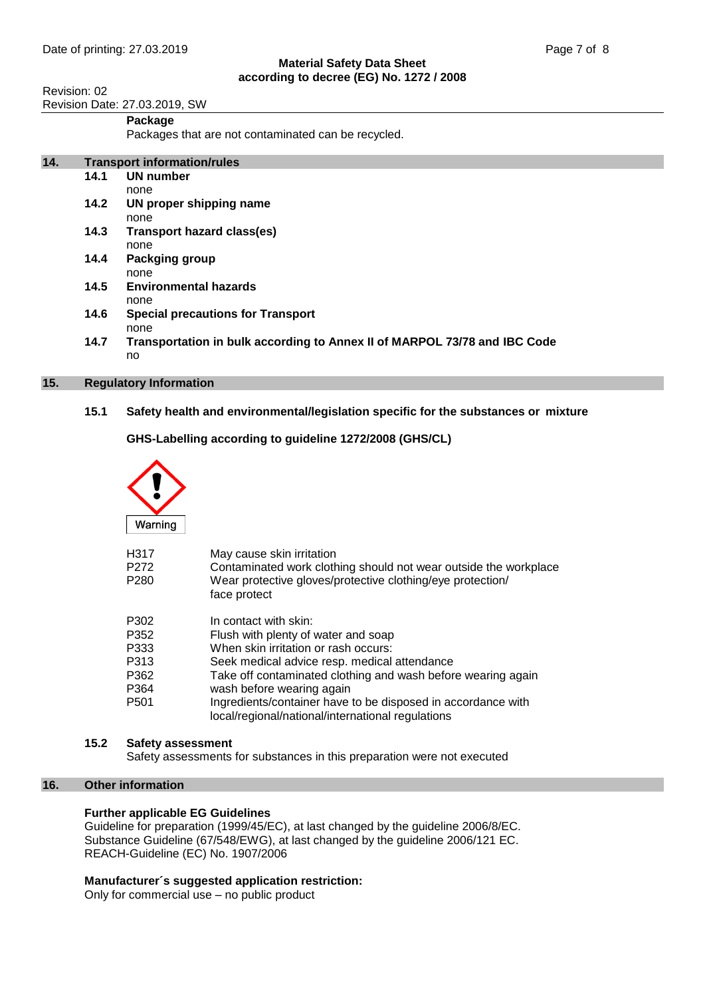Revision: 02 Revision Date: 27.03.2019, SW

#### **Package**

Packages that are not contaminated can be recycled.

| 14. | <b>Transport information/rules</b> |                                                                           |
|-----|------------------------------------|---------------------------------------------------------------------------|
|     | 14.1                               | <b>UN number</b>                                                          |
|     |                                    | none                                                                      |
|     | 14.2                               | UN proper shipping name                                                   |
|     |                                    | none                                                                      |
|     | 14.3                               | Transport hazard class(es)                                                |
|     |                                    | none                                                                      |
|     | 14.4                               | Packging group                                                            |
|     |                                    | none                                                                      |
|     | 14.5                               | <b>Environmental hazards</b>                                              |
|     |                                    | none                                                                      |
|     | 14.6                               | <b>Special precautions for Transport</b>                                  |
|     |                                    | none                                                                      |
|     | 14.7                               | Transportation in bulk according to Annex II of MARPOL 73/78 and IBC Code |
|     |                                    | no                                                                        |

# **15. Regulatory Information**

**15.1 Safety health and environmental/legislation specific for the substances or mixture**

**GHS-Labelling according to guideline 1272/2008 (GHS/CL)**



| H317 | May cause skin irritation                                                                                         |
|------|-------------------------------------------------------------------------------------------------------------------|
| P272 | Contaminated work clothing should not wear outside the workplace                                                  |
| P280 | Wear protective gloves/protective clothing/eye protection/<br>face protect                                        |
| P302 | In contact with skin:                                                                                             |
| P352 | Flush with plenty of water and soap                                                                               |
| P333 | When skin irritation or rash occurs:                                                                              |
| P313 | Seek medical advice resp. medical attendance                                                                      |
| P362 | Take off contaminated clothing and wash before wearing again                                                      |
| P364 | wash before wearing again                                                                                         |
| P501 | Ingredients/container have to be disposed in accordance with<br>local/regional/national/international regulations |
|      |                                                                                                                   |

#### **15.2 Safety assessment**

Safety assessments for substances in this preparation were not executed

#### **16. Other information**

# **Further applicable EG Guidelines**

Guideline for preparation (1999/45/EC), at last changed by the guideline 2006/8/EC. Substance Guideline (67/548/EWG), at last changed by the guideline 2006/121 EC. REACH-Guideline (EC) No. 1907/2006

# **Manufacturer´s suggested application restriction:**

Only for commercial use – no public product